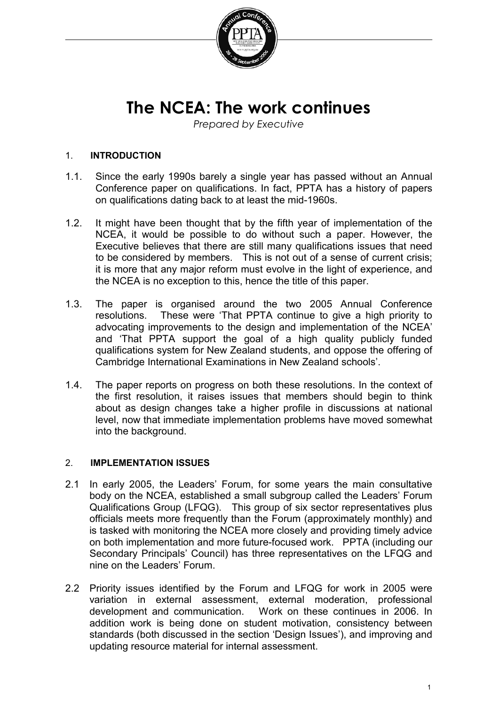

# **The NCEA: The work continues**

*Prepared by Executive*

#### 1. **INTRODUCTION**

- 1.1. Since the early 1990s barely a single year has passed without an Annual Conference paper on qualifications. In fact, PPTA has a history of papers on qualifications dating back to at least the mid-1960s.
- 1.2. It might have been thought that by the fifth year of implementation of the NCEA, it would be possible to do without such a paper. However, the Executive believes that there are still many qualifications issues that need to be considered by members. This is not out of a sense of current crisis; it is more that any major reform must evolve in the light of experience, and the NCEA is no exception to this, hence the title of this paper.
- 1.3. The paper is organised around the two 2005 Annual Conference resolutions. These were 'That PPTA continue to give a high priority to advocating improvements to the design and implementation of the NCEA' and 'That PPTA support the goal of a high quality publicly funded qualifications system for New Zealand students, and oppose the offering of Cambridge International Examinations in New Zealand schools'.
- 1.4. The paper reports on progress on both these resolutions. In the context of the first resolution, it raises issues that members should begin to think about as design changes take a higher profile in discussions at national level, now that immediate implementation problems have moved somewhat into the background.

#### 2. **IMPLEMENTATION ISSUES**

- 2.1 In early 2005, the Leaders' Forum, for some years the main consultative body on the NCEA, established a small subgroup called the Leaders' Forum Qualifications Group (LFQG). This group of six sector representatives plus officials meets more frequently than the Forum (approximately monthly) and is tasked with monitoring the NCEA more closely and providing timely advice on both implementation and more future-focused work. PPTA (including our Secondary Principals' Council) has three representatives on the LFQG and nine on the Leaders' Forum.
- 2.2 Priority issues identified by the Forum and LFQG for work in 2005 were variation in external assessment, external moderation, professional development and communication. Work on these continues in 2006. In addition work is being done on student motivation, consistency between standards (both discussed in the section 'Design Issues'), and improving and updating resource material for internal assessment.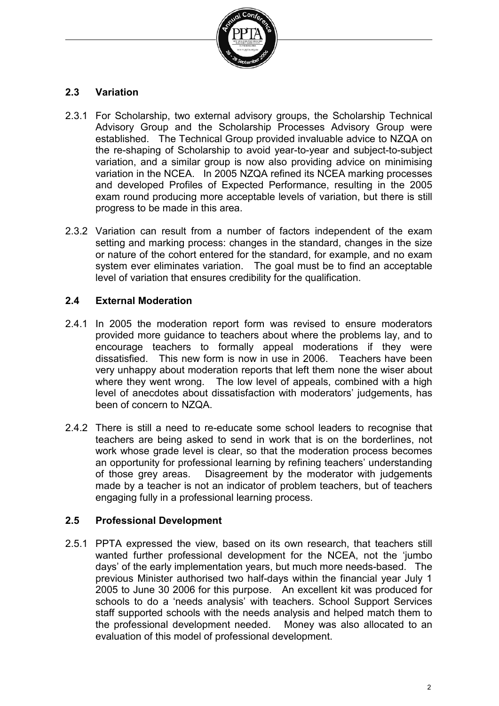

## **2.3 Variation**

- 2.3.1 For Scholarship, two external advisory groups, the Scholarship Technical Advisory Group and the Scholarship Processes Advisory Group were established. The Technical Group provided invaluable advice to NZQA on the re-shaping of Scholarship to avoid year-to-year and subject-to-subject variation, and a similar group is now also providing advice on minimising variation in the NCEA. In 2005 NZQA refined its NCEA marking processes and developed Profiles of Expected Performance, resulting in the 2005 exam round producing more acceptable levels of variation, but there is still progress to be made in this area.
- 2.3.2 Variation can result from a number of factors independent of the exam setting and marking process: changes in the standard, changes in the size or nature of the cohort entered for the standard, for example, and no exam system ever eliminates variation. The goal must be to find an acceptable level of variation that ensures credibility for the qualification.

## **2.4 External Moderation**

- 2.4.1 In 2005 the moderation report form was revised to ensure moderators provided more guidance to teachers about where the problems lay, and to encourage teachers to formally appeal moderations if they were dissatisfied. This new form is now in use in 2006. Teachers have been very unhappy about moderation reports that left them none the wiser about where they went wrong. The low level of appeals, combined with a high level of anecdotes about dissatisfaction with moderators' judgements, has been of concern to NZQA.
- 2.4.2 There is still a need to re-educate some school leaders to recognise that teachers are being asked to send in work that is on the borderlines, not work whose grade level is clear, so that the moderation process becomes an opportunity for professional learning by refining teachers' understanding of those grey areas. Disagreement by the moderator with judgements made by a teacher is not an indicator of problem teachers, but of teachers engaging fully in a professional learning process.

## **2.5 Professional Development**

2.5.1 PPTA expressed the view, based on its own research, that teachers still wanted further professional development for the NCEA, not the 'jumbo days' of the early implementation years, but much more needs-based. The previous Minister authorised two half-days within the financial year July 1 2005 to June 30 2006 for this purpose. An excellent kit was produced for schools to do a 'needs analysis' with teachers. School Support Services staff supported schools with the needs analysis and helped match them to the professional development needed. Money was also allocated to an evaluation of this model of professional development.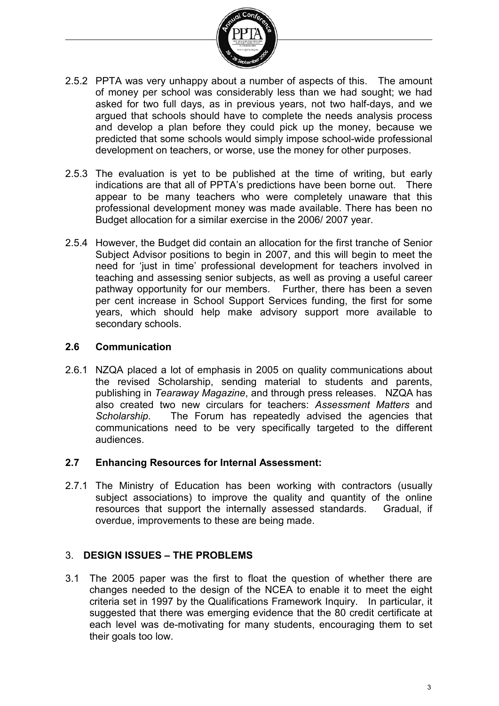

- 2.5.2 PPTA was very unhappy about a number of aspects of this. The amount of money per school was considerably less than we had sought; we had asked for two full days, as in previous years, not two half-days, and we argued that schools should have to complete the needs analysis process and develop a plan before they could pick up the money, because we predicted that some schools would simply impose school-wide professional development on teachers, or worse, use the money for other purposes.
- 2.5.3 The evaluation is yet to be published at the time of writing, but early indications are that all of PPTA's predictions have been borne out. There appear to be many teachers who were completely unaware that this professional development money was made available. There has been no Budget allocation for a similar exercise in the 2006/ 2007 year.
- 2.5.4 However, the Budget did contain an allocation for the first tranche of Senior Subject Advisor positions to begin in 2007, and this will begin to meet the need for 'just in time' professional development for teachers involved in teaching and assessing senior subjects, as well as proving a useful career pathway opportunity for our members. Further, there has been a seven per cent increase in School Support Services funding, the first for some years, which should help make advisory support more available to secondary schools.

#### **2.6 Communication**

2.6.1 NZQA placed a lot of emphasis in 2005 on quality communications about the revised Scholarship, sending material to students and parents, publishing in *Tearaway Magazine*, and through press releases. NZQA has also created two new circulars for teachers: *Assessment Matters* and *Scholarship*. The Forum has repeatedly advised the agencies that communications need to be very specifically targeted to the different audiences.

#### **2.7 Enhancing Resources for Internal Assessment:**

2.7.1 The Ministry of Education has been working with contractors (usually subject associations) to improve the quality and quantity of the online resources that support the internally assessed standards. Gradual, if overdue, improvements to these are being made.

## 3. **DESIGN ISSUES – THE PROBLEMS**

3.1 The 2005 paper was the first to float the question of whether there are changes needed to the design of the NCEA to enable it to meet the eight criteria set in 1997 by the Qualifications Framework Inquiry. In particular, it suggested that there was emerging evidence that the 80 credit certificate at each level was de-motivating for many students, encouraging them to set their goals too low.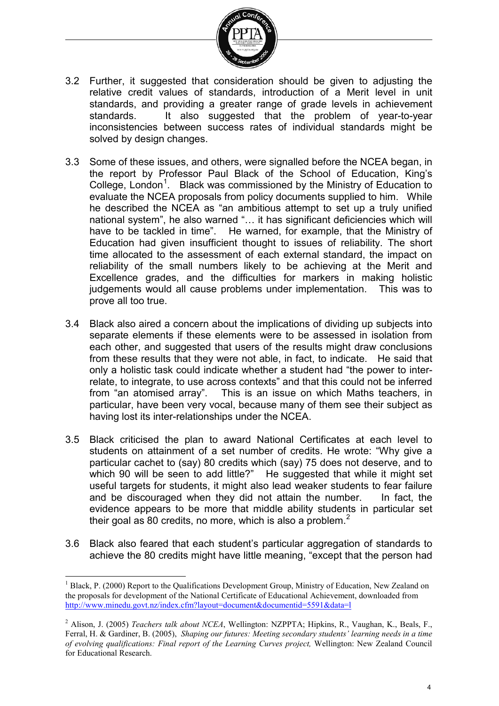

- 3.2 Further, it suggested that consideration should be given to adjusting the relative credit values of standards, introduction of a Merit level in unit standards, and providing a greater range of grade levels in achievement<br>standards. It also suggested that the problem of vear-to-vear It also suggested that the problem of year-to-year inconsistencies between success rates of individual standards might be solved by design changes.
- 3.3 Some of these issues, and others, were signalled before the NCEA began, in the report by Professor Paul Black of the School of Education, King's College, London<sup>[1](#page-3-0)</sup>. Black was commissioned by the Ministry of Education to evaluate the NCEA proposals from policy documents supplied to him. While he described the NCEA as "an ambitious attempt to set up a truly unified national system", he also warned "... it has significant deficiencies which will have to be tackled in time". He warned, for example, that the Ministry of Education had given insufficient thought to issues of reliability. The short time allocated to the assessment of each external standard, the impact on reliability of the small numbers likely to be achieving at the Merit and Excellence grades, and the difficulties for markers in making holistic judgements would all cause problems under implementation. This was to prove all too true.
- 3.4 Black also aired a concern about the implications of dividing up subjects into separate elements if these elements were to be assessed in isolation from each other, and suggested that users of the results might draw conclusions from these results that they were not able, in fact, to indicate. He said that only a holistic task could indicate whether a student had "the power to interrelate, to integrate, to use across contexts" and that this could not be inferred from "an atomised array". This is an issue on which Maths teachers, in particular, have been very vocal, because many of them see their subject as having lost its inter-relationships under the NCEA.
- 3.5 Black criticised the plan to award National Certificates at each level to students on attainment of a set number of credits. He wrote: "Why give a particular cachet to (say) 80 credits which (say) 75 does not deserve, and to which 90 will be seen to add little?" He suggested that while it might set useful targets for students, it might also lead weaker students to fear failure and be discouraged when they did not attain the number. In fact, the evidence appears to be more that middle ability students in particular set their goal as 80 credits, no more, which is also a problem.<sup>[2](#page-3-1)</sup>
- 3.6 Black also feared that each student's particular aggregation of standards to achieve the 80 credits might have little meaning, "except that the person had

<span id="page-3-0"></span> $1$  Black, P. (2000) Report to the Qualifications Development Group, Ministry of Education, New Zealand on the proposals for development of the National Certificate of Educational Achievement, downloaded from <http://www.minedu.govt.nz/index.cfm?layout=document&documentid=5591&data=l>  $\overline{1}$ 

<span id="page-3-1"></span><sup>2</sup> Alison, J. (2005) *Teachers talk about NCEA*, Wellington: NZPPTA; Hipkins, R., Vaughan, K., Beals, F., Ferral, H. & Gardiner, B. (2005), *Shaping our futures: Meeting secondary students' learning needs in a time of evolving qualifications: Final report of the Learning Curves project,* Wellington: New Zealand Council for Educational Research.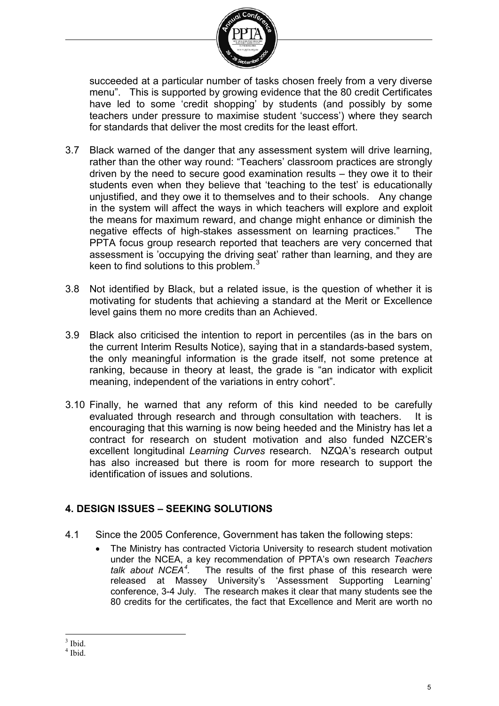

succeeded at a particular number of tasks chosen freely from a very diverse menu". This is supported by growing evidence that the 80 credit Certificates have led to some 'credit shopping' by students (and possibly by some teachers under pressure to maximise student 'success') where they search for standards that deliver the most credits for the least effort.

- 3.7 Black warned of the danger that any assessment system will drive learning, rather than the other way round: "Teachers' classroom practices are strongly driven by the need to secure good examination results – they owe it to their students even when they believe that 'teaching to the test' is educationally unjustified, and they owe it to themselves and to their schools. Any change in the system will affect the ways in which teachers will explore and exploit the means for maximum reward, and change might enhance or diminish the negative effects of high-stakes assessment on learning practices." The PPTA focus group research reported that teachers are very concerned that assessment is 'occupying the driving seat' rather than learning, and they are keen to find solutions to this problem. $3$
- 3.8 Not identified by Black, but a related issue, is the question of whether it is motivating for students that achieving a standard at the Merit or Excellence level gains them no more credits than an Achieved.
- 3.9 Black also criticised the intention to report in percentiles (as in the bars on the current Interim Results Notice), saying that in a standards-based system, the only meaningful information is the grade itself, not some pretence at ranking, because in theory at least, the grade is "an indicator with explicit meaning, independent of the variations in entry cohort".
- 3.10 Finally, he warned that any reform of this kind needed to be carefully evaluated through research and through consultation with teachers. It is encouraging that this warning is now being heeded and the Ministry has let a contract for research on student motivation and also funded NZCER's excellent longitudinal *Learning Curves* research. NZQA's research output has also increased but there is room for more research to support the identification of issues and solutions.

## **4. DESIGN ISSUES – SEEKING SOLUTIONS**

- 4.1 Since the 2005 Conference, Government has taken the following steps:
	- The Ministry has contracted Victoria University to research student motivation under the NCEA, a key recommendation of PPTA's own research *Teachers talk about NCEA[4](#page-4-1)* The results of the first phase of this research were released at Massey University's 'Assessment Supporting Learning' conference, 3-4 July. The research makes it clear that many students see the 80 credits for the certificates, the fact that Excellence and Merit are worth no

 $3$  Ibid.  $\overline{a}$ 

<span id="page-4-1"></span><span id="page-4-0"></span><sup>4</sup> Ibid.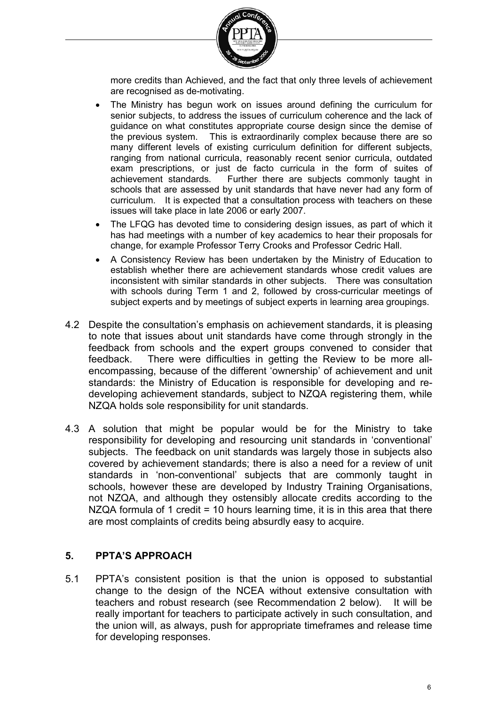

more credits than Achieved, and the fact that only three levels of achievement are recognised as de-motivating.

- The Ministry has begun work on issues around defining the curriculum for senior subjects, to address the issues of curriculum coherence and the lack of guidance on what constitutes appropriate course design since the demise of the previous system. This is extraordinarily complex because there are so many different levels of existing curriculum definition for different subjects, ranging from national curricula, reasonably recent senior curricula, outdated exam prescriptions, or just de facto curricula in the form of suites of achievement standards. Further there are subjects commonly taught in Further there are subjects commonly taught in schools that are assessed by unit standards that have never had any form of curriculum. It is expected that a consultation process with teachers on these issues will take place in late 2006 or early 2007.
- The LFQG has devoted time to considering design issues, as part of which it has had meetings with a number of key academics to hear their proposals for change, for example Professor Terry Crooks and Professor Cedric Hall.
- A Consistency Review has been undertaken by the Ministry of Education to establish whether there are achievement standards whose credit values are inconsistent with similar standards in other subjects. There was consultation with schools during Term 1 and 2, followed by cross-curricular meetings of subject experts and by meetings of subject experts in learning area groupings.
- 4.2 Despite the consultation's emphasis on achievement standards, it is pleasing to note that issues about unit standards have come through strongly in the feedback from schools and the expert groups convened to consider that feedback. There were difficulties in getting the Review to be more allencompassing, because of the different 'ownership' of achievement and unit standards: the Ministry of Education is responsible for developing and redeveloping achievement standards, subject to NZQA registering them, while NZQA holds sole responsibility for unit standards.
- 4.3 A solution that might be popular would be for the Ministry to take responsibility for developing and resourcing unit standards in 'conventional' subjects. The feedback on unit standards was largely those in subjects also covered by achievement standards; there is also a need for a review of unit standards in 'non-conventional' subjects that are commonly taught in schools, however these are developed by Industry Training Organisations, not NZQA, and although they ostensibly allocate credits according to the NZQA formula of 1 credit = 10 hours learning time, it is in this area that there are most complaints of credits being absurdly easy to acquire.

## **5. PPTA'S APPROACH**

5.1 PPTA's consistent position is that the union is opposed to substantial change to the design of the NCEA without extensive consultation with teachers and robust research (see Recommendation 2 below). It will be really important for teachers to participate actively in such consultation, and the union will, as always, push for appropriate timeframes and release time for developing responses.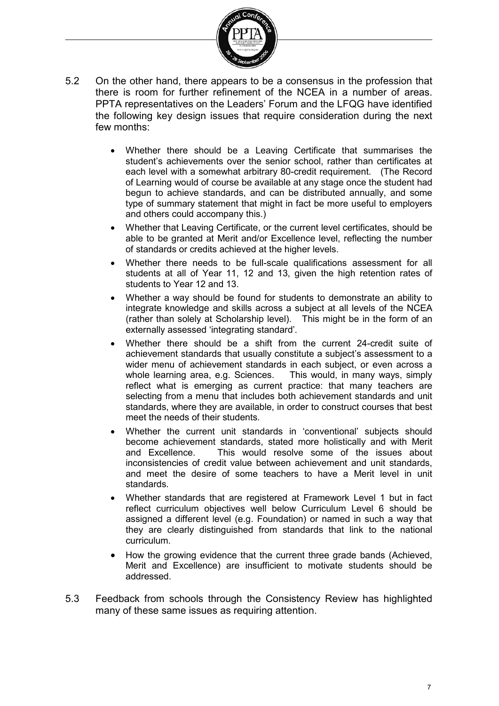

- 5.2 On the other hand, there appears to be a consensus in the profession that there is room for further refinement of the NCEA in a number of areas. PPTA representatives on the Leaders' Forum and the LFQG have identified the following key design issues that require consideration during the next few months:
	- Whether there should be a Leaving Certificate that summarises the student's achievements over the senior school, rather than certificates at each level with a somewhat arbitrary 80-credit requirement. (The Record of Learning would of course be available at any stage once the student had begun to achieve standards, and can be distributed annually, and some type of summary statement that might in fact be more useful to employers and others could accompany this.)
	- Whether that Leaving Certificate, or the current level certificates, should be able to be granted at Merit and/or Excellence level, reflecting the number of standards or credits achieved at the higher levels.
	- Whether there needs to be full-scale qualifications assessment for all students at all of Year 11, 12 and 13, given the high retention rates of students to Year 12 and 13.
	- Whether a way should be found for students to demonstrate an ability to integrate knowledge and skills across a subject at all levels of the NCEA (rather than solely at Scholarship level). This might be in the form of an externally assessed 'integrating standard'.
	- Whether there should be a shift from the current 24-credit suite of achievement standards that usually constitute a subject's assessment to a wider menu of achievement standards in each subject, or even across a whole learning area, e.g. Sciences. This would, in many ways, simply whole learning area, e.g. Sciences. reflect what is emerging as current practice: that many teachers are selecting from a menu that includes both achievement standards and unit standards, where they are available, in order to construct courses that best meet the needs of their students.
	- Whether the current unit standards in 'conventional' subjects should become achievement standards, stated more holistically and with Merit and Excellence. This would resolve some of the issues about inconsistencies of credit value between achievement and unit standards, and meet the desire of some teachers to have a Merit level in unit standards.
	- Whether standards that are registered at Framework Level 1 but in fact reflect curriculum objectives well below Curriculum Level 6 should be assigned a different level (e.g. Foundation) or named in such a way that they are clearly distinguished from standards that link to the national curriculum.
	- How the growing evidence that the current three grade bands (Achieved, Merit and Excellence) are insufficient to motivate students should be addressed.
- 5.3 Feedback from schools through the Consistency Review has highlighted many of these same issues as requiring attention.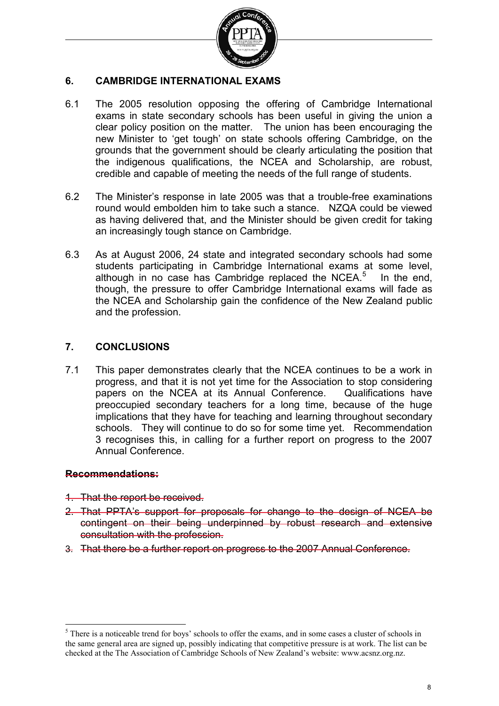

#### **6. CAMBRIDGE INTERNATIONAL EXAMS**

- 6.1 The 2005 resolution opposing the offering of Cambridge International exams in state secondary schools has been useful in giving the union a clear policy position on the matter. The union has been encouraging the new Minister to 'get tough' on state schools offering Cambridge, on the grounds that the government should be clearly articulating the position that the indigenous qualifications, the NCEA and Scholarship, are robust, credible and capable of meeting the needs of the full range of students.
- 6.2 The Minister's response in late 2005 was that a trouble-free examinations round would embolden him to take such a stance. NZQA could be viewed as having delivered that, and the Minister should be given credit for taking an increasingly tough stance on Cambridge.
- 6.3 As at August 2006, 24 state and integrated secondary schools had some students participating in Cambridge International exams at some level, although in no case has Cambridge replaced the NCEA. $5$  In the end, though, the pressure to offer Cambridge International exams will fade as the NCEA and Scholarship gain the confidence of the New Zealand public and the profession.

#### **7. CONCLUSIONS**

7.1 This paper demonstrates clearly that the NCEA continues to be a work in progress, and that it is not yet time for the Association to stop considering papers on the NCEA at its Annual Conference. Qualifications have preoccupied secondary teachers for a long time, because of the huge implications that they have for teaching and learning throughout secondary schools. They will continue to do so for some time yet. Recommendation 3 recognises this, in calling for a further report on progress to the 2007 Annual Conference.

#### **Recommendations:**

- 1. That the report be received.
- 2. That PPTA's support for proposals for change to the design of NCEA be contingent on their being underpinned by robust research and extensive consultation with the profession.
- 3. That there be a further report on progress to the 2007 Annual Conference.

<span id="page-7-0"></span><sup>&</sup>lt;sup>5</sup> There is a noticeable trend for boys' schools to offer the exams, and in some cases a cluster of schools in the same general area are signed up, possibly indicating that competitive pressure is at work. The list can be checked at the The Association of Cambridge Schools of New Zealand's website: www.acsnz.org.nz. -